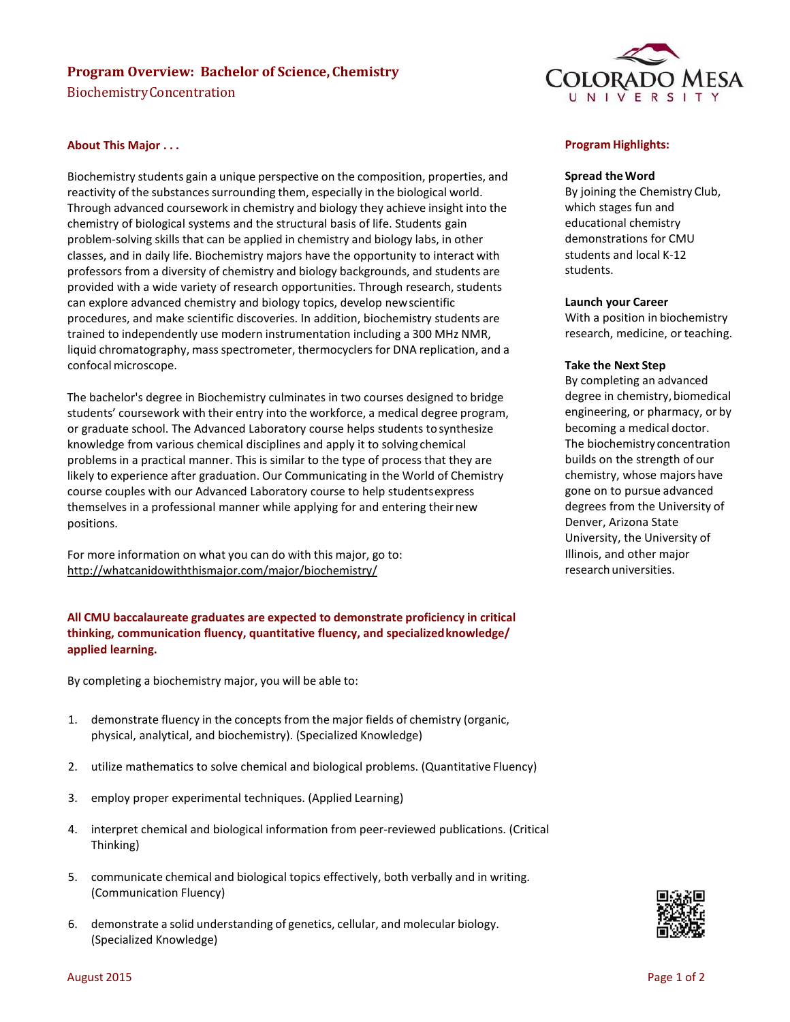# **Program Overview: Bachelor of Science, Chemistry**

BiochemistryConcentration



## **About This Major . . .**

Biochemistry students gain a unique perspective on the composition, properties, and reactivity of the substances surrounding them, especially in the biological world. Through advanced coursework in chemistry and biology they achieve insight into the chemistry of biological systems and the structural basis of life. Students gain problem-solving skills that can be applied in chemistry and biology labs, in other classes, and in daily life. Biochemistry majors have the opportunity to interact with professors from a diversity of chemistry and biology backgrounds, and students are provided with a wide variety of research opportunities. Through research, students can explore advanced chemistry and biology topics, develop newscientific procedures, and make scientific discoveries. In addition, biochemistry students are trained to independently use modern instrumentation including a 300 MHz NMR, liquid chromatography, mass spectrometer, thermocyclers for DNA replication, and a confocal microscope.

The bachelor's degree in Biochemistry culminates in two courses designed to bridge students' coursework with their entry into the workforce, a medical degree program, or graduate school. The Advanced Laboratory course helps students tosynthesize knowledge from various chemical disciplines and apply it to solving chemical problems in a practical manner. This is similar to the type of process that they are likely to experience after graduation. Our Communicating in the World of Chemistry course couples with our Advanced Laboratory course to help studentsexpress themselves in a professional manner while applying for and entering theirnew positions.

For more information on what you can do with this major, go to: <http://whatcanidowiththismajor.com/major/biochemistry/>

# **All CMU baccalaureate graduates are expected to demonstrate proficiency in critical thinking, communication fluency, quantitative fluency, and specializedknowledge/ applied learning.**

By completing a biochemistry major, you will be able to:

- 1. demonstrate fluency in the concepts from the major fields of chemistry (organic, physical, analytical, and biochemistry). (Specialized Knowledge)
- 2. utilize mathematics to solve chemical and biological problems. (Quantitative Fluency)
- 3. employ proper experimental techniques. (Applied Learning)
- 4. interpret chemical and biological information from peer-reviewed publications. (Critical Thinking)
- 5. communicate chemical and biological topics effectively, both verbally and in writing. (Communication Fluency)
- 6. demonstrate a solid understanding of genetics, cellular, and molecular biology. (Specialized Knowledge)

## **Program Highlights:**

#### **Spread theWord**

By joining the Chemistry Club, which stages fun and educational chemistry demonstrations for CMU students and local K-12 students.

#### **Launch your Career**

With a position in biochemistry research, medicine, or teaching.

#### **Take the Next Step**

By completing an advanced degree in chemistry, biomedical engineering, or pharmacy, or by becoming a medical doctor. The biochemistry concentration builds on the strength of our chemistry, whose majors have gone on to pursue advanced degrees from the University of Denver, Arizona State University, the University of Illinois, and other major research universities.